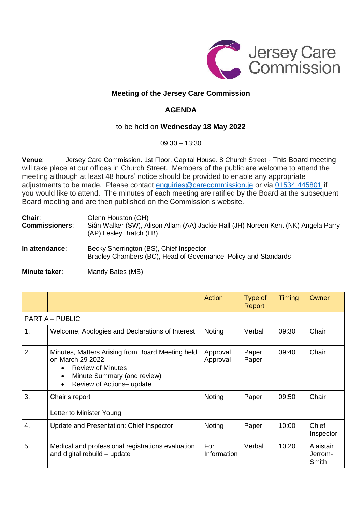

## **Meeting of the Jersey Care Commission**

## **AGENDA**

## to be held on **Wednesday 18 May 2022**

09:30 – 13:30

**Venue**: Jersey Care Commission. 1st Floor, Capital House. 8 Church Street - This Board meeting will take place at our offices in Church Street. Members of the public are welcome to attend the meeting although at least 48 hours' notice should be provided to enable any appropriate adjustments to be made. Please contact [enquiries@carecommission.je](mailto:enquiries@carecommission.je) or via 01534 [445801](https://www.google.com/search?q=care+commission+jersey+email&safe=active&ei=8sAwYqyYCcvwaNPnstgL&ved=0ahUKEwis2fvgxsj2AhVLOBoKHdOzDLsQ4dUDCA4&uact=5&oq=care+commission+jersey+email&gs_lcp=Cgdnd3Mtd2l6EAMyBQghEKABOgcIABBHELADOgYIABAWEB46CAghEBYQHRAeOgcIIRAKEKABSgQIQRgASgQIRhgAUL4CWOUHYJgKaAFwAXgAgAFsiAGPBJIBAzQuMpgBAKABAcgBBMABAQ&sclient=gws-wiz) if you would like to attend. The minutes of each meeting are ratified by the Board at the subsequent Board meeting and are then published on the Commission's website.

| Chair:<br><b>Commissioners:</b> | Glenn Houston (GH)<br>Siân Walker (SW), Alison Allam (AA) Jackie Hall (JH) Noreen Kent (NK) Angela Parry<br>(AP) Lesley Bratch (LB) |
|---------------------------------|-------------------------------------------------------------------------------------------------------------------------------------|
| In attendance:                  | Becky Sherrington (BS), Chief Inspector<br>Bradley Chambers (BC), Head of Governance, Policy and Standards                          |

**Minute taker:** Mandy Bates (MB)

|                        |                                                                                                                                                                                                     | <b>Action</b>        | Type of<br>Report | Timing | Owner                         |  |
|------------------------|-----------------------------------------------------------------------------------------------------------------------------------------------------------------------------------------------------|----------------------|-------------------|--------|-------------------------------|--|
| <b>PART A – PUBLIC</b> |                                                                                                                                                                                                     |                      |                   |        |                               |  |
| 1.                     | Welcome, Apologies and Declarations of Interest                                                                                                                                                     | Noting               | Verbal            | 09:30  | Chair                         |  |
| 2.                     | Minutes, Matters Arising from Board Meeting held<br>on March 29 2022<br><b>Review of Minutes</b><br>$\bullet$<br>Minute Summary (and review)<br>$\bullet$<br>Review of Actions- update<br>$\bullet$ | Approval<br>Approval | Paper<br>Paper    | 09:40  | Chair                         |  |
| 3.                     | Chair's report<br>Letter to Minister Young                                                                                                                                                          | Noting               | Paper             | 09:50  | Chair                         |  |
| 4.                     | Update and Presentation: Chief Inspector                                                                                                                                                            | Noting               | Paper             | 10:00  | Chief<br>Inspector            |  |
| 5.                     | Medical and professional registrations evaluation<br>and digital rebuild - update                                                                                                                   | For<br>Information   | Verbal            | 10.20  | Alaistair<br>Jerrom-<br>Smith |  |